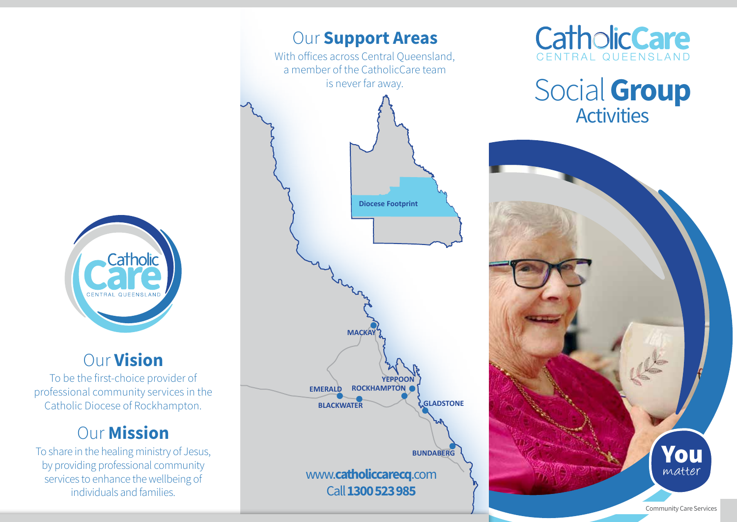

## Our Vision

To be the first-choice provider of professional community services in the Catholic Diocese of Rockhampton.

# **Our Mission**

To share in the healing ministry of Jesus, by providing professional community services to enhance the wellbeing of individuals and families.





Social Group **Activities**